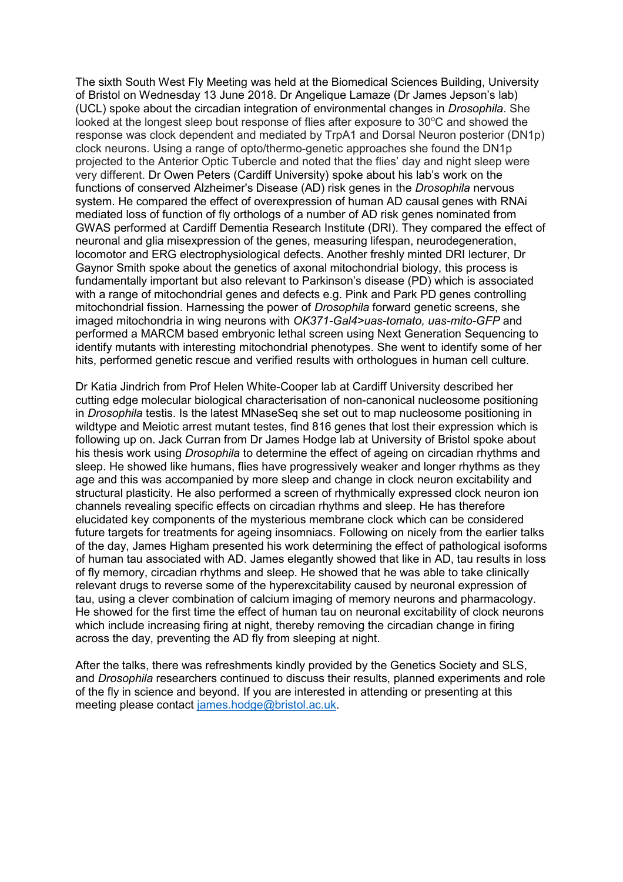The sixth South West Fly Meeting was held at the Biomedical Sciences Building, University of Bristol on Wednesday 13 June 2018. Dr Angelique Lamaze (Dr James Jepson's lab) (UCL) spoke about the circadian integration of environmental changes in *Drosophila*. She looked at the longest sleep bout response of flies after exposure to  $30^{\circ}$ C and showed the response was clock dependent and mediated by TrpA1 and Dorsal Neuron posterior (DN1p) clock neurons. Using a range of opto/thermo-genetic approaches she found the DN1p projected to the Anterior Optic Tubercle and noted that the flies' day and night sleep were very different. Dr Owen Peters (Cardiff University) spoke about his lab's work on the functions of conserved Alzheimer's Disease (AD) risk genes in the *Drosophila* nervous system. He compared the effect of overexpression of human AD causal genes with RNAi mediated loss of function of fly orthologs of a number of AD risk genes nominated from GWAS performed at Cardiff Dementia Research Institute (DRI). They compared the effect of neuronal and glia misexpression of the genes, measuring lifespan, neurodegeneration, locomotor and ERG electrophysiological defects. Another freshly minted DRI lecturer, Dr Gaynor Smith spoke about the genetics of axonal mitochondrial biology, this process is fundamentally important but also relevant to Parkinson's disease (PD) which is associated with a range of mitochondrial genes and defects e.g. Pink and Park PD genes controlling mitochondrial fission. Harnessing the power of *Drosophila* forward genetic screens, she imaged mitochondria in wing neurons with *OK371-Gal4>uas-tomato, uas-mito-GFP* and performed a MARCM based embryonic lethal screen using Next Generation Sequencing to identify mutants with interesting mitochondrial phenotypes. She went to identify some of her hits, performed genetic rescue and verified results with orthologues in human cell culture.

Dr Katia Jindrich from Prof Helen White-Cooper lab at Cardiff University described her cutting edge molecular biological characterisation of non-canonical nucleosome positioning in *Drosophila* testis. Is the latest MNaseSeq she set out to map nucleosome positioning in wildtype and Meiotic arrest mutant testes, find 816 genes that lost their expression which is following up on. Jack Curran from Dr James Hodge lab at University of Bristol spoke about his thesis work using *Drosophila* to determine the effect of ageing on circadian rhythms and sleep. He showed like humans, flies have progressively weaker and longer rhythms as they age and this was accompanied by more sleep and change in clock neuron excitability and structural plasticity. He also performed a screen of rhythmically expressed clock neuron ion channels revealing specific effects on circadian rhythms and sleep. He has therefore elucidated key components of the mysterious membrane clock which can be considered future targets for treatments for ageing insomniacs. Following on nicely from the earlier talks of the day, James Higham presented his work determining the effect of pathological isoforms of human tau associated with AD. James elegantly showed that like in AD, tau results in loss of fly memory, circadian rhythms and sleep. He showed that he was able to take clinically relevant drugs to reverse some of the hyperexcitability caused by neuronal expression of tau, using a clever combination of calcium imaging of memory neurons and pharmacology. He showed for the first time the effect of human tau on neuronal excitability of clock neurons which include increasing firing at night, thereby removing the circadian change in firing across the day, preventing the AD fly from sleeping at night.

After the talks, there was refreshments kindly provided by the Genetics Society and SLS, and *Drosophila* researchers continued to discuss their results, planned experiments and role of the fly in science and beyond. If you are interested in attending or presenting at this meeting please contact [james.hodge@bristol.ac.uk.](mailto:james.hodge@bristol.ac.uk)